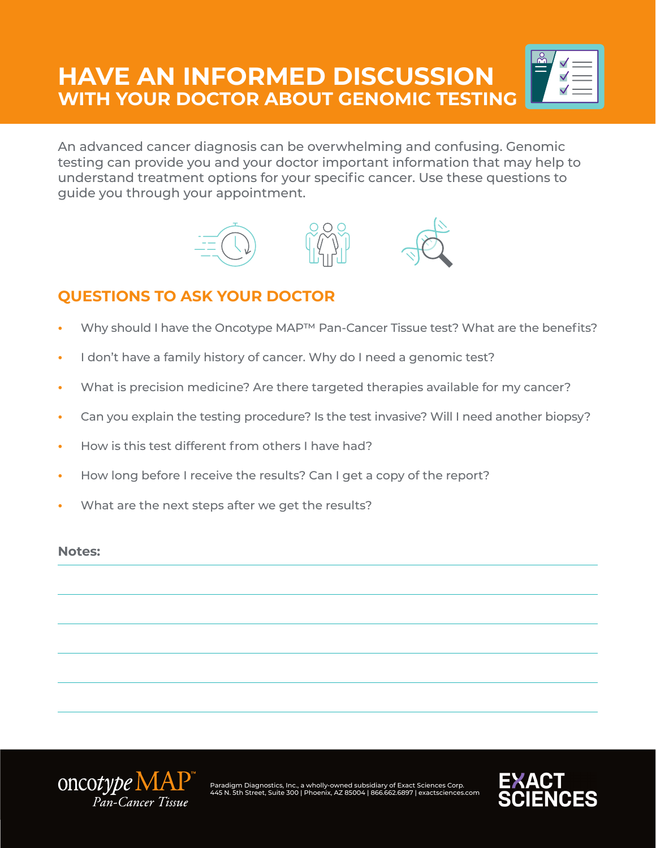# **HAVE AN INFORMED DISCUSSION WITH YOUR DOCTOR ABOUT GENOMIC TESTING**



An advanced cancer diagnosis can be overwhelming and confusing. Genomic testing can provide you and your doctor important information that may help to understand treatment options for your specific cancer. Use these questions to guide you through your appointment.



### **QUESTIONS TO ASK YOUR DOCTOR**

- Why should I have the Oncotype MAP<sup>™</sup> Pan-Cancer Tissue test? What are the benefits?
- I don't have a family history of cancer. Why do I need a genomic test?
- What is precision medicine? Are there targeted therapies available for my cancer?
- Can you explain the testing procedure? Is the test invasive? Will I need another biopsy?
- How is this test different from others I have had?
- How long before I receive the results? Can I get a copy of the report?
- What are the next steps after we get the results?

#### **Notes:**



Paradigm Diagnostics, Inc., a wholly-owned subsidiary of Exact Sciences Corp. 445 N. 5th Street, Suite 300 | Phoenix, AZ 85004 | 866.662.6897 | exactsciences.com